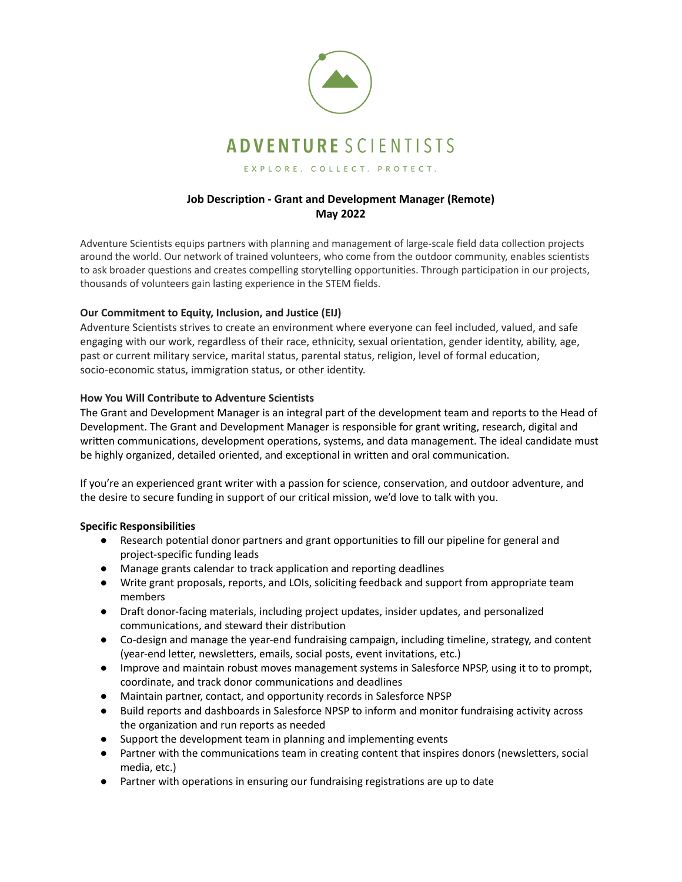

# **Job Description - Grant and Development Manager (Remote) May 2022**

Adventure Scientists equips partners with planning and management of large-scale field data collection projects around the world. Our network of trained volunteers, who come from the outdoor community, enables scientists to ask broader questions and creates compelling storytelling opportunities. Through participation in our projects, thousands of volunteers gain lasting experience in the STEM fields.

# **Our Commitment to Equity, Inclusion, and Justice (EIJ)**

Adventure Scientists strives to create an environment where everyone can feel included, valued, and safe engaging with our work, regardless of their race, ethnicity, sexual orientation, gender identity, ability, age, past or current military service, marital status, parental status, religion, level of formal education, socio-economic status, immigration status, or other identity.

# **How You Will Contribute to Adventure Scientists**

The Grant and Development Manager is an integral part of the development team and reports to the Head of Development. The Grant and Development Manager is responsible for grant writing, research, digital and written communications, development operations, systems, and data management. The ideal candidate must be highly organized, detailed oriented, and exceptional in written and oral communication.

If you're an experienced grant writer with a passion for science, conservation, and outdoor adventure, and the desire to secure funding in support of our critical mission, we'd love to talk with you.

### **Specific Responsibilities**

- Research potential donor partners and grant opportunities to fill our pipeline for general and project-specific funding leads
- Manage grants calendar to track application and reporting deadlines
- Write grant proposals, reports, and LOIs, soliciting feedback and support from appropriate team members
- Draft donor-facing materials, including project updates, insider updates, and personalized communications, and steward their distribution
- Co-design and manage the year-end fundraising campaign, including timeline, strategy, and content (year-end letter, newsletters, emails, social posts, event invitations, etc.)
- Improve and maintain robust moves management systems in Salesforce NPSP, using it to to prompt, coordinate, and track donor communications and deadlines
- Maintain partner, contact, and opportunity records in Salesforce NPSP
- Build reports and dashboards in Salesforce NPSP to inform and monitor fundraising activity across the organization and run reports as needed
- Support the development team in planning and implementing events
- Partner with the communications team in creating content that inspires donors (newsletters, social media, etc.)
- Partner with operations in ensuring our fundraising registrations are up to date